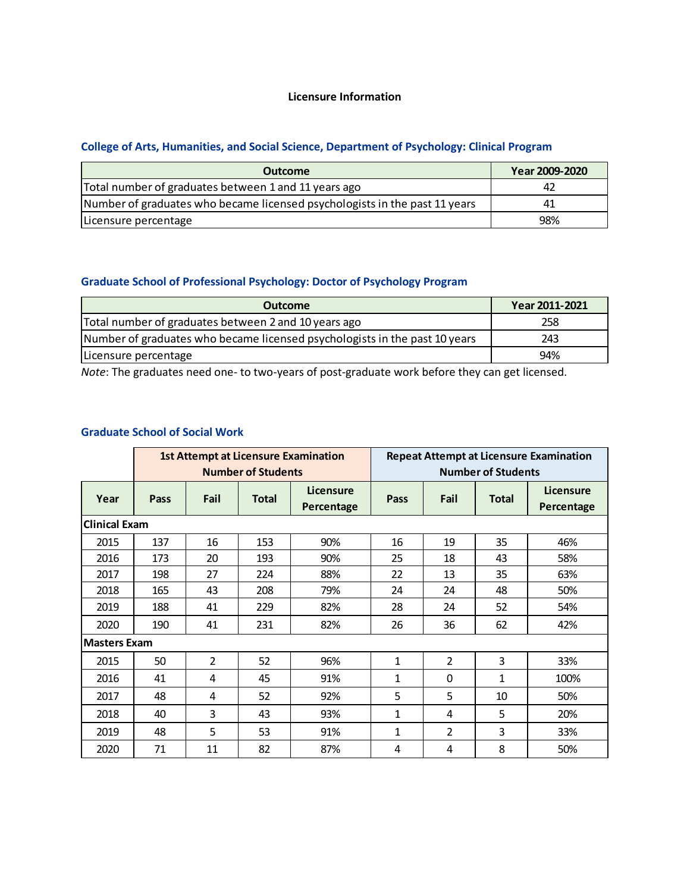#### **Licensure Information**

## **College of Arts, Humanities, and Social Science, Department of Psychology: Clinical Program**

| <b>Outcome</b>                                                             | Year 2009-2020 |  |
|----------------------------------------------------------------------------|----------------|--|
| Total number of graduates between 1 and 11 years ago                       | 42             |  |
| Number of graduates who became licensed psychologists in the past 11 years | 41             |  |
| Licensure percentage                                                       | 98%            |  |

## **Graduate School of Professional Psychology: Doctor of Psychology Program**

| <b>Outcome</b>                                                             | Year 2011-2021 |
|----------------------------------------------------------------------------|----------------|
| Total number of graduates between 2 and 10 years ago                       | 258            |
| Number of graduates who became licensed psychologists in the past 10 years | 243            |
| Licensure percentage                                                       | 94%            |

*Note*: The graduates need one- to two-years of post-graduate work before they can get licensed.

#### **Graduate School of Social Work**

|                      | <b>1st Attempt at Licensure Examination</b><br><b>Number of Students</b> |                |              |                         | <b>Repeat Attempt at Licensure Examination</b><br><b>Number of Students</b> |                |              |                         |
|----------------------|--------------------------------------------------------------------------|----------------|--------------|-------------------------|-----------------------------------------------------------------------------|----------------|--------------|-------------------------|
| Year                 | Pass                                                                     | Fail           | <b>Total</b> | Licensure<br>Percentage | Pass                                                                        | Fail           | <b>Total</b> | Licensure<br>Percentage |
| <b>Clinical Exam</b> |                                                                          |                |              |                         |                                                                             |                |              |                         |
| 2015                 | 137                                                                      | 16             | 153          | 90%                     | 16                                                                          | 19             | 35           | 46%                     |
| 2016                 | 173                                                                      | 20             | 193          | 90%                     | 25                                                                          | 18             | 43           | 58%                     |
| 2017                 | 198                                                                      | 27             | 224          | 88%                     | 22                                                                          | 13             | 35           | 63%                     |
| 2018                 | 165                                                                      | 43             | 208          | 79%                     | 24                                                                          | 24             | 48           | 50%                     |
| 2019                 | 188                                                                      | 41             | 229          | 82%                     | 28                                                                          | 24             | 52           | 54%                     |
| 2020                 | 190                                                                      | 41             | 231          | 82%                     | 26                                                                          | 36             | 62           | 42%                     |
| <b>Masters Exam</b>  |                                                                          |                |              |                         |                                                                             |                |              |                         |
| 2015                 | 50                                                                       | $\overline{2}$ | 52           | 96%                     | 1                                                                           | $\overline{2}$ | 3            | 33%                     |
| 2016                 | 41                                                                       | 4              | 45           | 91%                     | 1                                                                           | $\Omega$       | 1            | 100%                    |
| 2017                 | 48                                                                       | 4              | 52           | 92%                     | 5                                                                           | 5              | 10           | 50%                     |
| 2018                 | 40                                                                       | 3              | 43           | 93%                     | 1                                                                           | 4              | 5            | 20%                     |
| 2019                 | 48                                                                       | 5              | 53           | 91%                     | 1                                                                           | 2              | 3            | 33%                     |
| 2020                 | 71                                                                       | 11             | 82           | 87%                     | 4                                                                           | 4              | 8            | 50%                     |